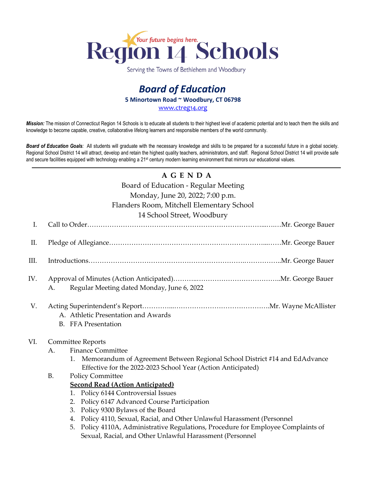

Serving the Towns of Bethlehem and Woodbury

## *Board of Education* **5 Minortown Road ~ Woodbury, CT 06798** [www.ctreg14.org](http://www.ctreg14.org/)

*Mission:* The mission of Connecticut Region 14 Schools is to educate all students to their highest level of academic potential and to teach them the skills and knowledge to become capable, creative, collaborative lifelong learners and responsible members of the world community.

*Board of Education Goals:* All students will graduate with the necessary knowledge and skills to be prepared for a successful future in a global society. Regional School District 14 will attract, develop and retain the highest quality teachers, administrators, and staff. Regional School District 14 will provide safe and secure facilities equipped with technology enabling a 21<sup>st</sup> century modern learning environment that mirrors our educational values.

## **A G E N D A**

Board of Education - Regular Meeting

Monday, June 20, 2022; 7:00 p.m.

#### Flanders Room, Mitchell Elementary School

14 School Street, Woodbury

| I.   |                                                                                                                                                                                                                                                                                                                                                                                                                                                                                                                                                                                                                                                                            |  |
|------|----------------------------------------------------------------------------------------------------------------------------------------------------------------------------------------------------------------------------------------------------------------------------------------------------------------------------------------------------------------------------------------------------------------------------------------------------------------------------------------------------------------------------------------------------------------------------------------------------------------------------------------------------------------------------|--|
| П.   |                                                                                                                                                                                                                                                                                                                                                                                                                                                                                                                                                                                                                                                                            |  |
| III. |                                                                                                                                                                                                                                                                                                                                                                                                                                                                                                                                                                                                                                                                            |  |
| IV.  | Regular Meeting dated Monday, June 6, 2022<br>А.                                                                                                                                                                                                                                                                                                                                                                                                                                                                                                                                                                                                                           |  |
| V.   | A. Athletic Presentation and Awards<br><b>B.</b> FFA Presentation                                                                                                                                                                                                                                                                                                                                                                                                                                                                                                                                                                                                          |  |
| VI.  | <b>Committee Reports</b><br><b>Finance Committee</b><br>A.<br>Memorandum of Agreement Between Regional School District #14 and EdAdvance<br>1.<br>Effective for the 2022-2023 School Year (Action Anticipated)<br><b>B.</b><br><b>Policy Committee</b><br><b>Second Read (Action Anticipated)</b><br>Policy 6144 Controversial Issues<br>1.<br>Policy 6147 Advanced Course Participation<br>2.<br>Policy 9300 Bylaws of the Board<br>3.<br>Policy 4110, Sexual, Racial, and Other Unlawful Harassment (Personnel<br>4.<br>Policy 4110A, Administrative Regulations, Procedure for Employee Complaints of<br>5.<br>Sexual, Racial, and Other Unlawful Harassment (Personnel |  |